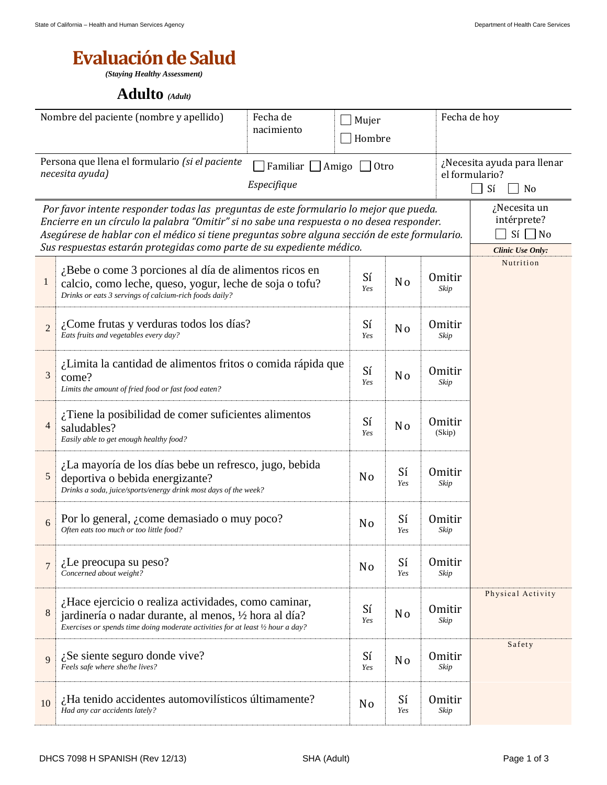## **Evaluación de Salud**

*(Staying Healthy Assessment)*

## **Adulto** *(Adult)*

| Nombre del paciente (nombre y apellido)                                                                                                                                                                                                                                                                                                                                                                                          |                                                                                                                                                                                                 | Fecha de<br>nacimiento | Mujer          | Hombre                |                       | Fecha de hoy                                              |  |
|----------------------------------------------------------------------------------------------------------------------------------------------------------------------------------------------------------------------------------------------------------------------------------------------------------------------------------------------------------------------------------------------------------------------------------|-------------------------------------------------------------------------------------------------------------------------------------------------------------------------------------------------|------------------------|----------------|-----------------------|-----------------------|-----------------------------------------------------------|--|
| Persona que llena el formulario (si el paciente<br>Familiar<br>Amigo<br>necesita ayuda)<br>Especifique                                                                                                                                                                                                                                                                                                                           |                                                                                                                                                                                                 |                        | Otro           |                       |                       | ¿Necesita ayuda para llenar<br>el formulario?<br>Sí<br>No |  |
| ¿Necesita un<br>Por favor intente responder todas las preguntas de este formulario lo mejor que pueda.<br>intérprete?<br>Encierre en un círculo la palabra "Omitir" si no sabe una respuesta o no desea responder.<br>$Si \Box No$<br>Asegúrese de hablar con el médico si tiene preguntas sobre alguna sección de este formulario.<br>Sus respuestas estarán protegidas como parte de su expediente médico.<br>Clinic Use Only: |                                                                                                                                                                                                 |                        |                |                       |                       |                                                           |  |
| $\mathbf{1}$                                                                                                                                                                                                                                                                                                                                                                                                                     | $i$ Bebe o come 3 porciones al día de alimentos ricos en<br>calcio, como leche, queso, yogur, leche de soja o tofu?<br>Drinks or eats 3 servings of calcium-rich foods daily?                   | Sí<br>Yes              | N <sub>o</sub> | <b>Omitir</b><br>Skip | Nutrition             |                                                           |  |
| $\overline{2}$                                                                                                                                                                                                                                                                                                                                                                                                                   | ¿Come frutas y verduras todos los días?<br>Eats fruits and vegetables every day?                                                                                                                | Sí<br>Yes              | N <sub>o</sub> | <b>Omitir</b><br>Skip |                       |                                                           |  |
| 3                                                                                                                                                                                                                                                                                                                                                                                                                                | ¿Limita la cantidad de alimentos fritos o comida rápida que<br>come?<br>Limits the amount of fried food or fast food eaten?                                                                     | Sí<br>Yes              | N <sub>o</sub> | <b>Omitir</b><br>Skip |                       |                                                           |  |
| $\overline{4}$                                                                                                                                                                                                                                                                                                                                                                                                                   | $i$ Tiene la posibilidad de comer suficientes alimentos<br>saludables?<br>Easily able to get enough healthy food?                                                                               | Sí<br>Yes              | N <sub>o</sub> | Omitir<br>(Skip)      |                       |                                                           |  |
| 5                                                                                                                                                                                                                                                                                                                                                                                                                                | ¿La mayoría de los días bebe un refresco, jugo, bebida<br>deportiva o bebida energizante?<br>Drinks a soda, juice/sports/energy drink most days of the week?                                    | N <sub>o</sub>         | Sí<br>Yes      | <b>Omitir</b><br>Skip |                       |                                                           |  |
| 6                                                                                                                                                                                                                                                                                                                                                                                                                                | Por lo general, <i>i</i> come demasiado o muy poco?<br>Often eats too much or too little food?                                                                                                  | N <sub>0</sub>         | Sí<br>Yes      | <b>Omitir</b><br>Skip |                       |                                                           |  |
| $\overline{7}$                                                                                                                                                                                                                                                                                                                                                                                                                   | $i$ . Le preocupa su peso?<br>Concerned about weight?                                                                                                                                           | N <sub>o</sub>         | Sí<br>Yes      | <b>Omitir</b><br>Skip |                       |                                                           |  |
| 8                                                                                                                                                                                                                                                                                                                                                                                                                                | ¿Hace ejercicio o realiza actividades, como caminar,<br>jardinería o nadar durante, al menos, ½ hora al día?<br>Exercises or spends time doing moderate activities for at least 1/2 hour a day? | Sí<br>Yes              | No             | <b>Omitir</b><br>Skip | Physical Activity     |                                                           |  |
| 9                                                                                                                                                                                                                                                                                                                                                                                                                                | $i$ Se siente seguro donde vive?<br>Feels safe where she/he lives?                                                                                                                              |                        | Sí<br>Yes      | N <sub>0</sub>        | <b>Omitir</b><br>Skip | Safety                                                    |  |
| 10                                                                                                                                                                                                                                                                                                                                                                                                                               | ¿Ha tenido accidentes automovilísticos últimamente?<br>Had any car accidents lately?                                                                                                            |                        | N <sub>0</sub> | Sí<br>Yes             | <b>Omitir</b><br>Skip |                                                           |  |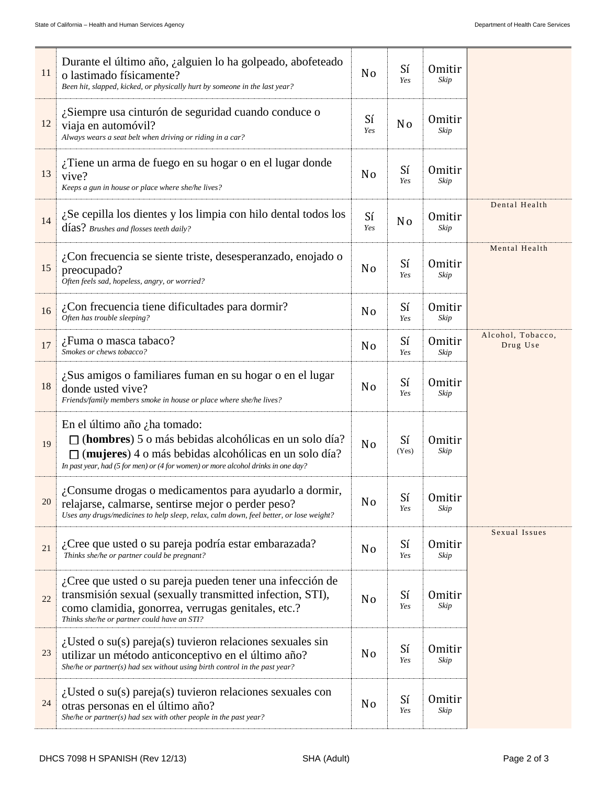| 11 | Durante el último año, ¿alguien lo ha golpeado, abofeteado<br>o lastimado físicamente?<br>Been hit, slapped, kicked, or physically hurt by someone in the last year?                                                                         |                | Sí<br>Yes      | <b>Omitir</b><br>Skip |                               |
|----|----------------------------------------------------------------------------------------------------------------------------------------------------------------------------------------------------------------------------------------------|----------------|----------------|-----------------------|-------------------------------|
| 12 | ¿Siempre usa cinturón de seguridad cuando conduce o<br>viaja en automóvil?<br>Always wears a seat belt when driving or riding in a car?                                                                                                      | Sí<br>Yes      | N <sub>o</sub> | <b>Omitir</b><br>Skip |                               |
| 13 | ¿Tiene un arma de fuego en su hogar o en el lugar donde<br>vive?<br>Keeps a gun in house or place where she/he lives?                                                                                                                        | N <sub>0</sub> | Sí<br>Yes      | <b>Omitir</b><br>Skip |                               |
| 14 | $i$ Se cepilla los dientes y los limpia con hilo dental todos los<br>días? Brushes and flosses teeth daily?                                                                                                                                  | Sí<br>Yes      | N <sub>o</sub> | <b>Omitir</b><br>Skip | Dental Health                 |
| 15 | ¿Con frecuencia se siente triste, desesperanzado, enojado o<br>preocupado?<br>Often feels sad, hopeless, angry, or worried?                                                                                                                  | N <sub>0</sub> | Sí<br>Yes      | <b>Omitir</b><br>Skip | Mental Health                 |
| 16 | $\lambda$ Con frecuencia tiene dificultades para dormir?<br>Often has trouble sleeping?                                                                                                                                                      | N <sub>0</sub> | Sí<br>Yes      | <b>Omitir</b><br>Skip |                               |
| 17 | ¿Fuma o masca tabaco?<br>Smokes or chews tobacco?                                                                                                                                                                                            | N <sub>0</sub> | Sí<br>Yes      | Omitir<br>Skip        | Alcohol, Tobacco,<br>Drug Use |
| 18 | ¿Sus amigos o familiares fuman en su hogar o en el lugar<br>donde usted vive?<br>Friends/family members smoke in house or place where she/he lives?                                                                                          | N <sub>0</sub> | Sí<br>Yes      | <b>Omitir</b><br>Skip |                               |
| 19 | En el último año $\lambda$ ha tomado:<br>(hombres) 5 o más bebidas alcohólicas en un solo día?<br>(mujeres) 4 o más bebidas alcohólicas en un solo día?<br>In past year, had (5 for men) or (4 for women) or more alcohol drinks in one day? | N <sub>o</sub> | Sí<br>(Yes)    | <b>Omitir</b><br>Skip |                               |
| 20 | ¿Consume drogas o medicamentos para ayudarlo a dormir,<br>relajarse, calmarse, sentirse mejor o perder peso?<br>Uses any drugs/medicines to help sleep, relax, calm down, feel better, or lose weight?                                       | N <sub>o</sub> | Sí<br>Yes      | <b>Omitir</b><br>Skip |                               |
| 21 | ¿Cree que usted o su pareja podría estar embarazada?<br>Thinks she/he or partner could be pregnant?                                                                                                                                          | N <sub>0</sub> | Sí<br>Yes      | <b>Omitir</b><br>Skip | Sexual Issues                 |
| 22 | $i$ Cree que usted o su pareja pueden tener una infección de<br>transmisión sexual (sexually transmitted infection, STI),<br>como clamidia, gonorrea, verrugas genitales, etc.?<br>Thinks she/he or partner could have an STI?               | N <sub>0</sub> | Sí<br>Yes      | <b>Omitir</b><br>Skip |                               |
| 23 | $i$ Usted o su(s) pareja(s) tuvieron relaciones sexuales sin<br>utilizar un método anticonceptivo en el último año?<br>She/he or partner(s) had sex without using birth control in the past year?                                            | N <sub>0</sub> | Sí<br>Yes      | <b>Omitir</b><br>Skip |                               |
| 24 | $i$ Usted o su(s) pareja(s) tuvieron relaciones sexuales con<br>otras personas en el último año?<br>She/he or partner(s) had sex with other people in the past year?                                                                         | N <sub>0</sub> | Sí<br>Yes      | <b>Omitir</b><br>Skip |                               |